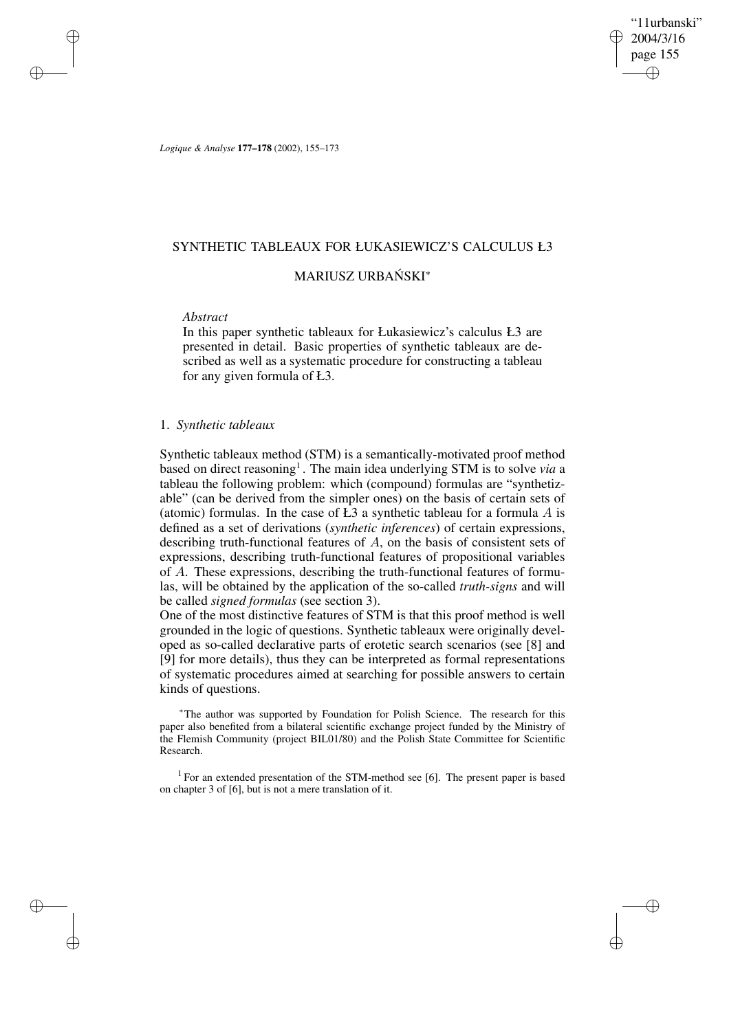"11urbanski" 2004/3/16 page 155 ✐ ✐

✐

✐

*Logique & Analyse* **177–178** (2002), 155–173

## SYNTHETIC TABLEAUX FOR ŁUKASIEWICZ'S CALCULUS Ł3

# MARIUSZ URBAŃSKI\*

### *Abstract*

✐

✐

✐

✐

In this paper synthetic tableaux for Łukasiewicz's calculus Ł3 are presented in detail. Basic properties of synthetic tableaux are described as well as a systematic procedure for constructing a tableau for any given formula of Ł3.

### 1. *Synthetic tableaux*

Synthetic tableaux method (STM) is a semantically-motivated proof method based on direct reasoning<sup>1</sup>. The main idea underlying STM is to solve *via* a tableau the following problem: which (compound) formulas are "synthetizable" (can be derived from the simpler ones) on the basis of certain sets of (atomic) formulas. In the case of  $E_3$  a synthetic tableau for a formula A is defined as a set of derivations (*synthetic inferences*) of certain expressions, describing truth-functional features of A, on the basis of consistent sets of expressions, describing truth-functional features of propositional variables of A. These expressions, describing the truth-functional features of formulas, will be obtained by the application of the so-called *truth-signs* and will be called *signed formulas* (see section 3).

One of the most distinctive features of STM is that this proof method is well grounded in the logic of questions. Synthetic tableaux were originally developed as so-called declarative parts of erotetic search scenarios (see [8] and [9] for more details), thus they can be interpreted as formal representations of systematic procedures aimed at searching for possible answers to certain kinds of questions.

<sup>∗</sup>The author was supported by Foundation for Polish Science. The research for this paper also benefited from a bilateral scientific exchange project funded by the Ministry of the Flemish Community (project BIL01/80) and the Polish State Committee for Scientific Research.

<sup>1</sup> For an extended presentation of the STM-method see [6]. The present paper is based on chapter 3 of [6], but is not a mere translation of it.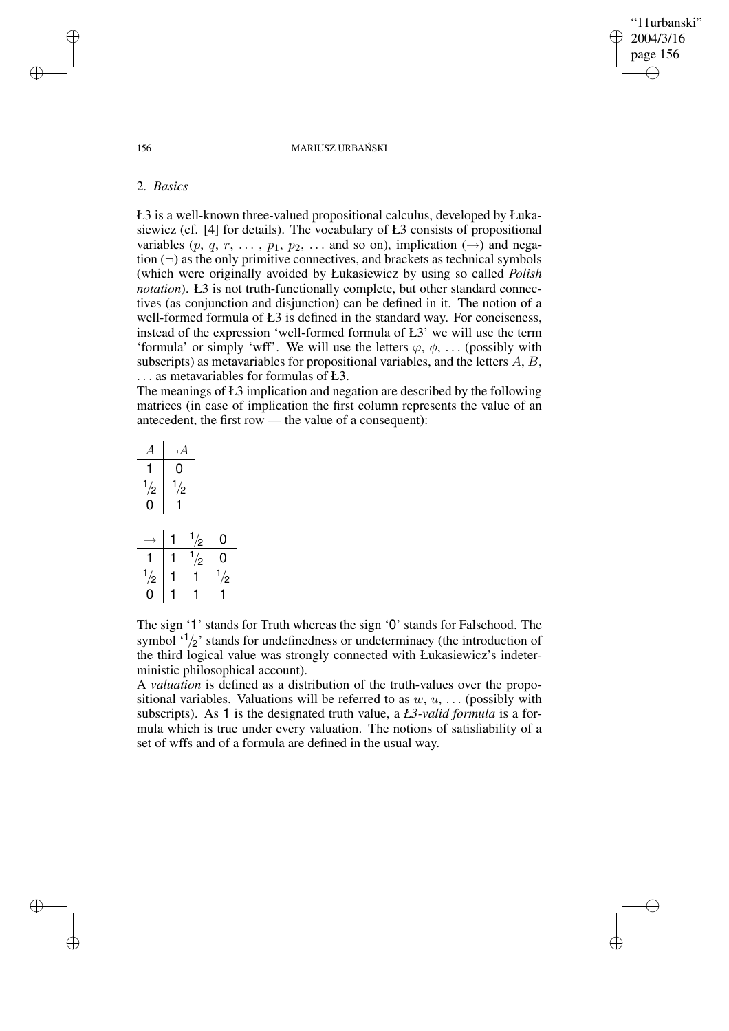156 MARIUSZ URBAŃSKI

"11urbanski" 2004/3/16 page 156

✐

✐

✐

✐

# 2. *Basics*

Ł3 is a well-known three-valued propositional calculus, developed by Łukasiewicz (cf. [4] for details). The vocabulary of Ł3 consists of propositional variables  $(p, q, r, \ldots, p_1, p_2, \ldots$  and so on), implication  $(\rightarrow)$  and negation  $(\neg)$  as the only primitive connectives, and brackets as technical symbols (which were originally avoided by Łukasiewicz by using so called *Polish notation*). Ł3 is not truth-functionally complete, but other standard connectives (as conjunction and disjunction) can be defined in it. The notion of a well-formed formula of Ł3 is defined in the standard way. For conciseness, instead of the expression 'well-formed formula of Ł3' we will use the term 'formula' or simply 'wff'. We will use the letters  $\varphi$ ,  $\phi$ , ... (possibly with subscripts) as metavariables for propositional variables, and the letters A, B, . . . as metavariables for formulas of Ł3.

The meanings of Ł3 implication and negation are described by the following matrices (in case of implication the first column represents the value of an antecedent, the first row — the value of a consequent):

|                    | 0                  |                   |                |
|--------------------|--------------------|-------------------|----------------|
|                    |                    |                   |                |
| $\frac{1}{2}$<br>0 | $\frac{1}{2}$<br>1 |                   |                |
|                    |                    |                   | $\mathbf{0}$   |
|                    |                    | $\frac{1/2}{1/2}$ | $\overline{0}$ |
| $\frac{1}{2}$      |                    |                   | $\frac{1}{2}$  |
|                    |                    |                   |                |

The sign '1' stands for Truth whereas the sign '0' stands for Falsehood. The symbol  $\binom{1}{2}$  stands for undefinedness or undeterminacy (the introduction of the third logical value was strongly connected with Łukasiewicz's indeterministic philosophical account).

A *valuation* is defined as a distribution of the truth-values over the propositional variables. Valuations will be referred to as  $w, u, \ldots$  (possibly with subscripts). As 1 is the designated truth value, a *Ł3-valid formula* is a formula which is true under every valuation. The notions of satisfiability of a set of wffs and of a formula are defined in the usual way.

✐

✐

✐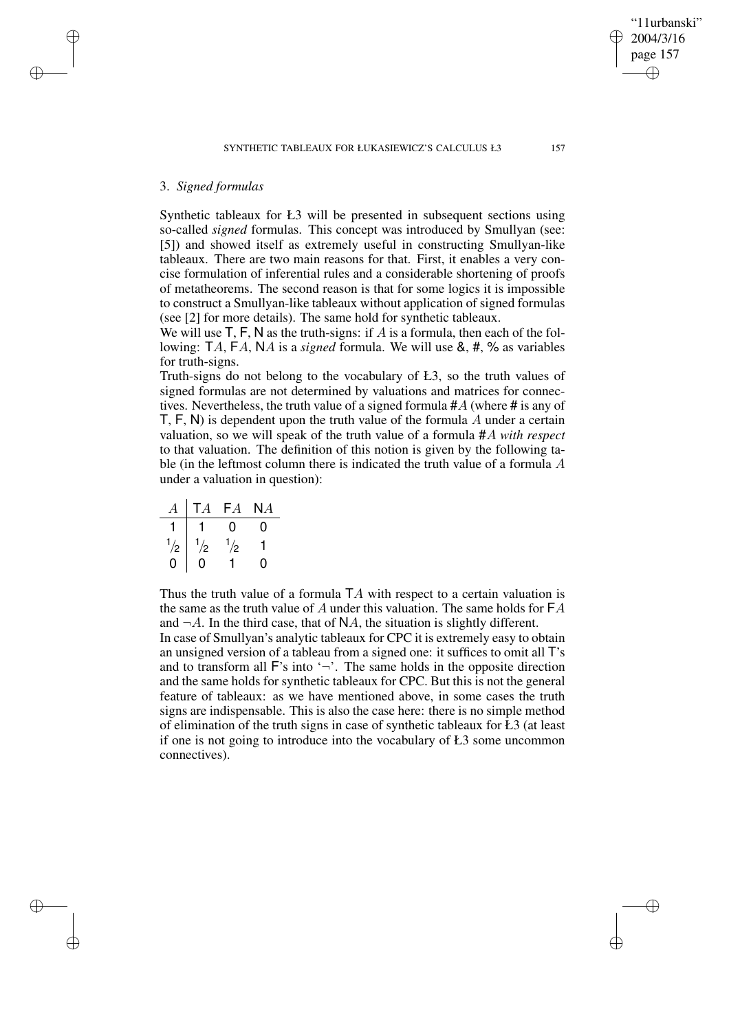# 3. *Signed formulas*

✐

✐

✐

✐

Synthetic tableaux for Ł3 will be presented in subsequent sections using so-called *signed* formulas. This concept was introduced by Smullyan (see: [5]) and showed itself as extremely useful in constructing Smullyan-like tableaux. There are two main reasons for that. First, it enables a very concise formulation of inferential rules and a considerable shortening of proofs of metatheorems. The second reason is that for some logics it is impossible to construct a Smullyan-like tableaux without application of signed formulas (see [2] for more details). The same hold for synthetic tableaux.

We will use  $T, F, N$  as the truth-signs: if A is a formula, then each of the following: TA, FA, NA is a *signed* formula. We will use &, #, % as variables for truth-signs.

Truth-signs do not belong to the vocabulary of Ł3, so the truth values of signed formulas are not determined by valuations and matrices for connectives. Nevertheless, the truth value of a signed formula #A (where # is any of  $T, F, N$ ) is dependent upon the truth value of the formula  $A$  under a certain valuation, so we will speak of the truth value of a formula #A *with respect* to that valuation. The definition of this notion is given by the following table (in the leftmost column there is indicated the truth value of a formula A under a valuation in question):

| А             | TA            | FA            | NА |
|---------------|---------------|---------------|----|
|               |               | 0             | 0  |
| $\frac{1}{2}$ | $\frac{1}{2}$ | $\frac{1}{2}$ |    |
|               | D             |               | 0  |

Thus the truth value of a formula  $TA$  with respect to a certain valuation is the same as the truth value of A under this valuation. The same holds for  $FA$ and  $\neg A$ . In the third case, that of NA, the situation is slightly different. In case of Smullyan's analytic tableaux for CPC it is extremely easy to obtain an unsigned version of a tableau from a signed one: it suffices to omit all T's and to transform all  $\mathsf{F}$ 's into ' $\neg$ '. The same holds in the opposite direction and the same holds for synthetic tableaux for CPC. But this is not the general feature of tableaux: as we have mentioned above, in some cases the truth signs are indispensable. This is also the case here: there is no simple method of elimination of the truth signs in case of synthetic tableaux for Ł3 (at least if one is not going to introduce into the vocabulary of Ł3 some uncommon connectives).

"11urbanski" 2004/3/16 page 157

✐

✐

✐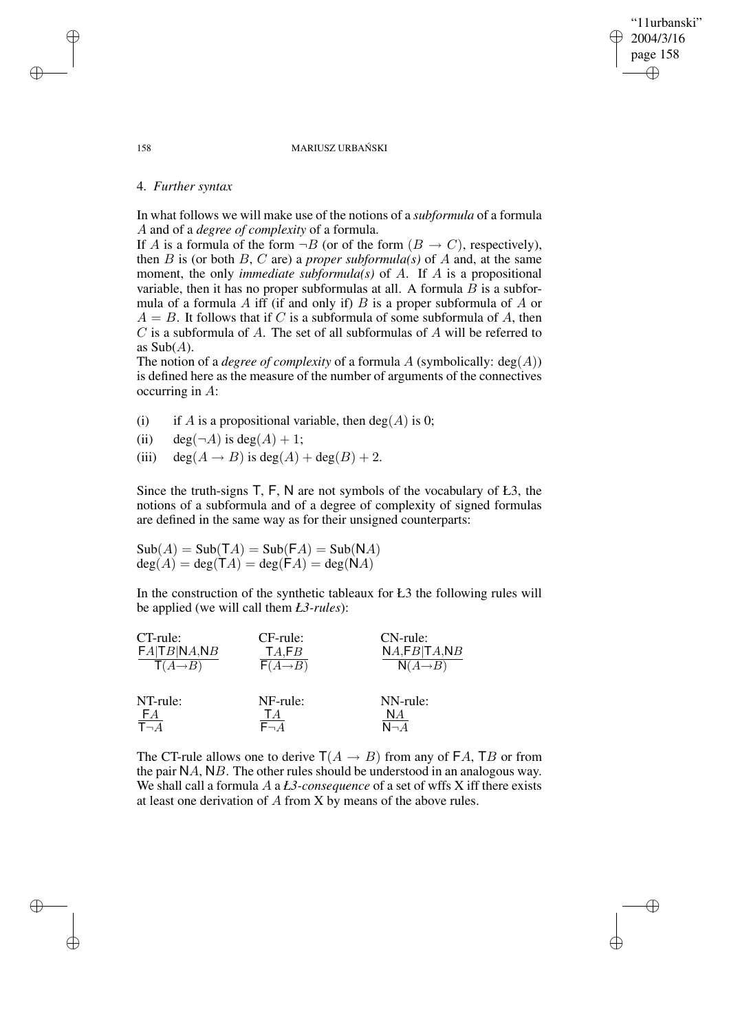#### 158 MARIUSZ URBAŃSKI

"11urbanski" 2004/3/16 page 158

✐

✐

✐

✐

### 4. *Further syntax*

In what follows we will make use of the notions of a *subformula* of a formula A and of a *degree of complexity* of a formula.

If A is a formula of the form  $\neg B$  (or of the form  $(B \to C)$ , respectively), then  $B$  is (or both  $B$ ,  $C$  are) a *proper* subformula(s) of  $A$  and, at the same moment, the only *immediate subformula(s)* of A. If A is a propositional variable, then it has no proper subformulas at all. A formula  $B$  is a subformula of a formula  $A$  iff (if and only if)  $B$  is a proper subformula of  $A$  or  $A = B$ . It follows that if C is a subformula of some subformula of A, then C is a subformula of A. The set of all subformulas of A will be referred to as  $\text{Sub}(A)$ .

The notion of a *degree of complexity* of a formula A (symbolically:  $deg(A)$ ) is defined here as the measure of the number of arguments of the connectives occurring in A:

- (i) if A is a propositional variable, then  $deg(A)$  is 0;
- (ii) deg( $\neg A$ ) is deg( $A$ ) + 1;
- (iii) deg( $A \rightarrow B$ ) is deg( $A$ ) + deg( $B$ ) + 2.

Since the truth-signs T, F, N are not symbols of the vocabulary of Ł3, the notions of a subformula and of a degree of complexity of signed formulas are defined in the same way as for their unsigned counterparts:

 $\text{Sub}(A) = \text{Sub}(\mathsf{T}A) = \text{Sub}(\mathsf{F}A) = \text{Sub}(\mathsf{N}A)$  $deg(A) = deg(TA) = deg(FA) = deg(NA)$ 

In the construction of the synthetic tableaux for Ł3 the following rules will be applied (we will call them *Ł3-rules*):

| CT-rule:                      | $CF$ -rule:          | $CN$ -rule:          |
|-------------------------------|----------------------|----------------------|
| FA TB NA,NB                   | TA,FB                | NA, FB TA, NB        |
| $\mathsf{T}(A \rightarrow B)$ | $F(A \rightarrow B)$ | $N(A \rightarrow B)$ |
| NT-rule:                      | NF-rule:             | NN-rule:             |
| FA                            | TΑ                   | NА                   |
| $\bar{\tau}_{\neg A}$         | $F - A$              | $N - A$              |

The CT-rule allows one to derive  $T(A \rightarrow B)$  from any of FA, TB or from the pair NA, NB. The other rules should be understood in an analogous way. We shall call a formula A a *Ł3-consequence* of a set of wffs X iff there exists at least one derivation of A from X by means of the above rules.

✐

✐

✐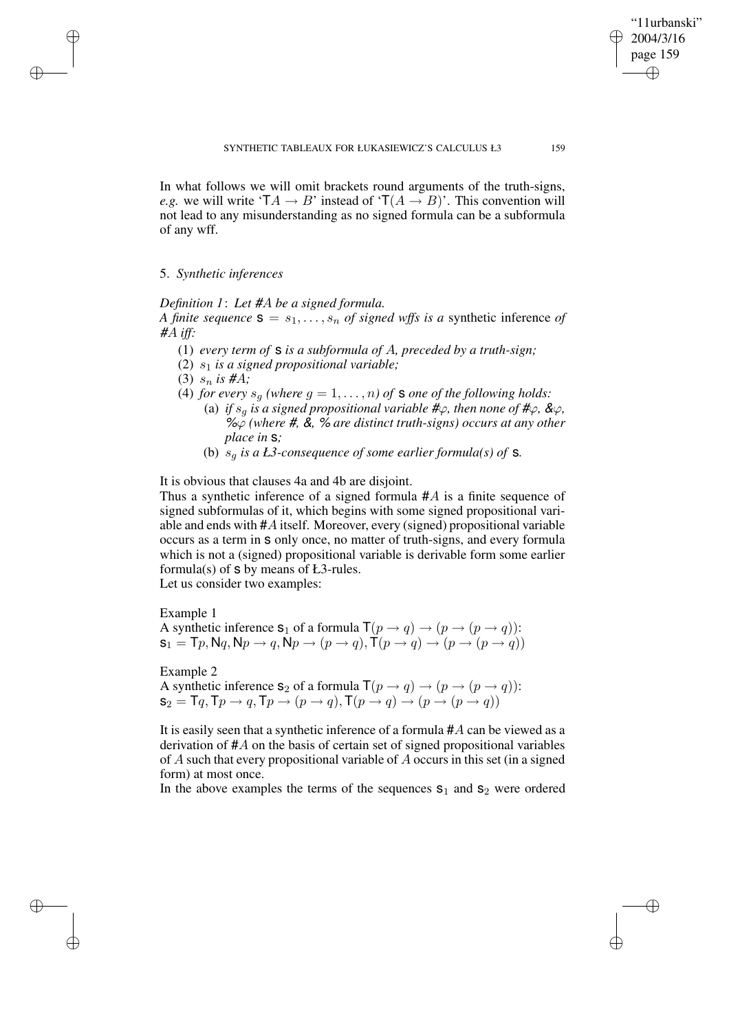In what follows we will omit brackets round arguments of the truth-signs, *e.g.* we will write  $TA \rightarrow B'$  instead of  $T(A \rightarrow B)'$ . This convention will not lead to any misunderstanding as no signed formula can be a subformula of any wff.

### 5. *Synthetic inferences*

✐

✐

✐

✐

*Definition 1*: *Let* #A *be a signed formula. A finite sequence*  $S = s_1, \ldots, s_n$  *of signed wffs is a* synthetic inference *of* #A *iff:*

- (1) *every term of* s *is a subformula of* A*, preceded by a truth-sign;*
- (2) s<sup>1</sup> *is a signed propositional variable;*
- (3)  $s_n$  is #A;
- (4) *for every*  $s_g$  *(where*  $g = 1, \ldots, n$ *) of* **s** *one of the following holds:* 
	- (a) *if*  $s_g$  *is a signed propositional variable*  $\#\varphi$ *, then none of*  $\#\varphi$ *, &* $\varphi$ *,* %ϕ *(where* #*,* &*,* % *are distinct truth-signs) occurs at any other place in* s*;*
	- (b)  $s_a$  *is a Ł3*-consequence of some earlier formula(s) of **s**.

It is obvious that clauses 4a and 4b are disjoint.

Thus a synthetic inference of a signed formula  $#A$  is a finite sequence of signed subformulas of it, which begins with some signed propositional variable and ends with #A itself. Moreover, every (signed) propositional variable occurs as a term in s only once, no matter of truth-signs, and every formula which is not a (signed) propositional variable is derivable form some earlier formula(s) of  $s$  by means of  $E3$ -rules.

Let us consider two examples:

Example 1 A synthetic inference  $s_1$  of a formula  $\mathsf{T}(p \to q) \to (p \to (p \to q))$ :  $s_1 = \mathsf{T}_p, \mathsf{N}_q, \mathsf{N}_p \rightarrow q, \mathsf{N}_p \rightarrow (p \rightarrow q), \mathsf{T}(p \rightarrow q) \rightarrow (p \rightarrow (p \rightarrow q))$ 

Example 2

A synthetic inference  $s_2$  of a formula  $\mathsf{T}(p \to q) \to (p \to (p \to q))$ :  $\mathsf{s}_2 = \mathsf{T} q, \mathsf{T} p \rightarrow q, \mathsf{T} p \rightarrow (p \rightarrow q), \mathsf{T} (p \rightarrow q) \rightarrow (p \rightarrow (p \rightarrow q))$ 

It is easily seen that a synthetic inference of a formula  $#A$  can be viewed as a derivation of #A on the basis of certain set of signed propositional variables of A such that every propositional variable of A occurs in this set (in a signed form) at most once.

In the above examples the terms of the sequences  $s_1$  and  $s_2$  were ordered

"11urbanski" 2004/3/16 page 159

✐

✐

✐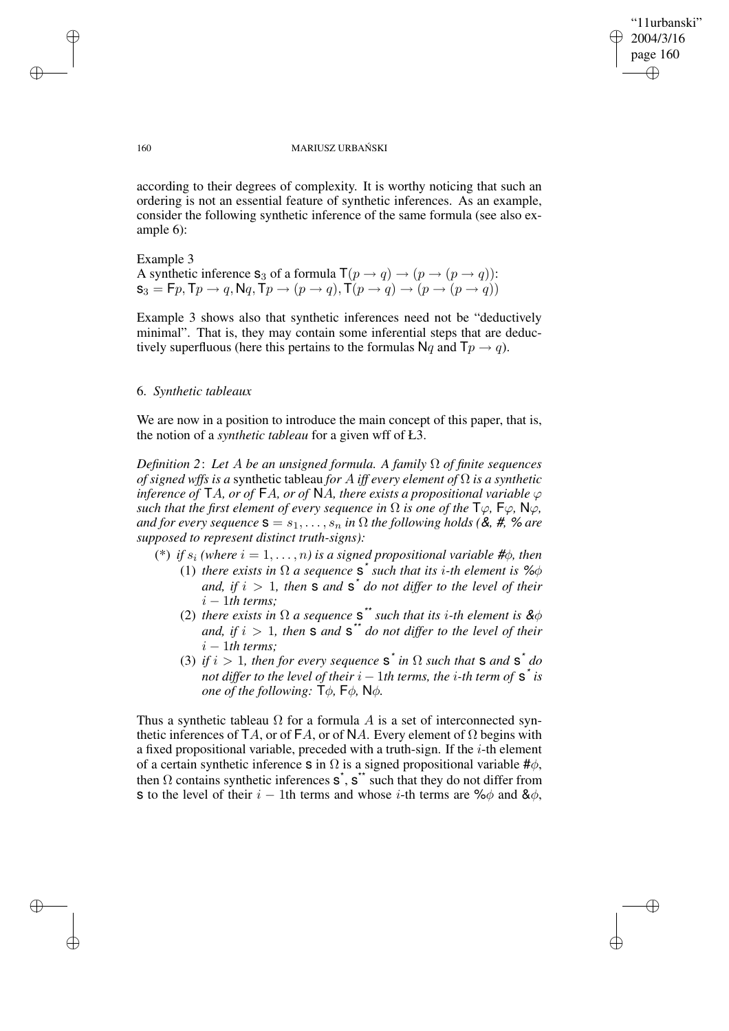"11urbanski" 2004/3/16 page 160 ✐ ✐

✐

✐

#### 160 MARIUSZ URBAŃSKI

according to their degrees of complexity. It is worthy noticing that such an ordering is not an essential feature of synthetic inferences. As an example, consider the following synthetic inference of the same formula (see also example 6):

Example 3 A synthetic inference  $s_3$  of a formula  $\mathsf{T}(p \to q) \to (p \to (p \to q))$ :  $\mathsf{s}_3 = \mathsf{F} p, \mathsf{T} p \rightarrow q, \mathsf{N} q, \mathsf{T} p \rightarrow (p \rightarrow q), \mathsf{T} (p \rightarrow q) \rightarrow (p \rightarrow (p \rightarrow q))$ 

Example 3 shows also that synthetic inferences need not be "deductively minimal". That is, they may contain some inferential steps that are deductively superfluous (here this pertains to the formulas  $Nq$  and  $Tp \rightarrow q$ ).

### 6. *Synthetic tableaux*

We are now in a position to introduce the main concept of this paper, that is, the notion of a *synthetic tableau* for a given wff of Ł3.

*Definition 2*: *Let* A *be an unsigned formula. A family* Ω *of finite sequences of signed wffs is a* synthetic tableau *for A iff every element of*  $\Omega$  *is a synthetic inference of*  $TA$ *, or of*  $FA$ *, or of*  $NA$ *, there exists a propositional variable*  $\varphi$ *such that the first element of every sequence in*  $\Omega$  *is one of the*  $\mathsf{T}\varphi$ *,*  $\mathsf{F}\varphi$ *,*  $\mathsf{N}\varphi$ *, and for every sequence*  $\mathbf{s} = s_1, \ldots, s_n$  *in*  $\Omega$  *the following holds* (&, #, % *are supposed to represent distinct truth-signs):*

- (\*) *if*  $s_i$  (where  $i = 1, \ldots, n$ ) *is a signed propositional variable* # $\phi$ *, then* (1) *there exists in*  $\Omega$  *a sequence*  $s^*$  *such that its i-th element is* % $\phi$ *and,* if  $i > 1$ *, then* **s** *and* **s**<sup>\*</sup> *do not differ to the level of their*  $i - 1$ *th terms*;
	- (2) *there exists in*  $\Omega$  *a sequence*  $s^*$  *such that its i-th element is*  $\&\phi$ *and,* if  $i > 1$ *, then* **s** *and* **s**<sup>\*\*</sup> *do not differ to the level of their*  $i - 1$ *th terms*;
	- (3) *if*  $i > 1$ , *then for every sequence*  $s^*$  *in*  $\Omega$  *such that*  $s$  *and*  $s^*$  *do not differ to the level of their*  $i-1$ *th terms, the*  $i$ *-th term of*  $\boldsymbol{\mathsf{s}}^*$  *is one of the following:*  $\mathsf{T}\phi$ *,*  $\mathsf{F}\phi$ *,*  $\mathsf{N}\phi$ *.*

Thus a synthetic tableau  $\Omega$  for a formula A is a set of interconnected synthetic inferences of TA, or of FA, or of NA. Every element of  $\Omega$  begins with a fixed propositional variable, preceded with a truth-sign. If the i-th element of a certain synthetic inference s in  $\Omega$  is a signed propositional variable # $\phi$ , then  $\Omega$  contains synthetic inferences  $s^*$ ,  $s^*$  such that they do not differ from s to the level of their  $i - 1$ th terms and whose i-th terms are % $\phi$  and & $\phi$ ,

✐

✐

✐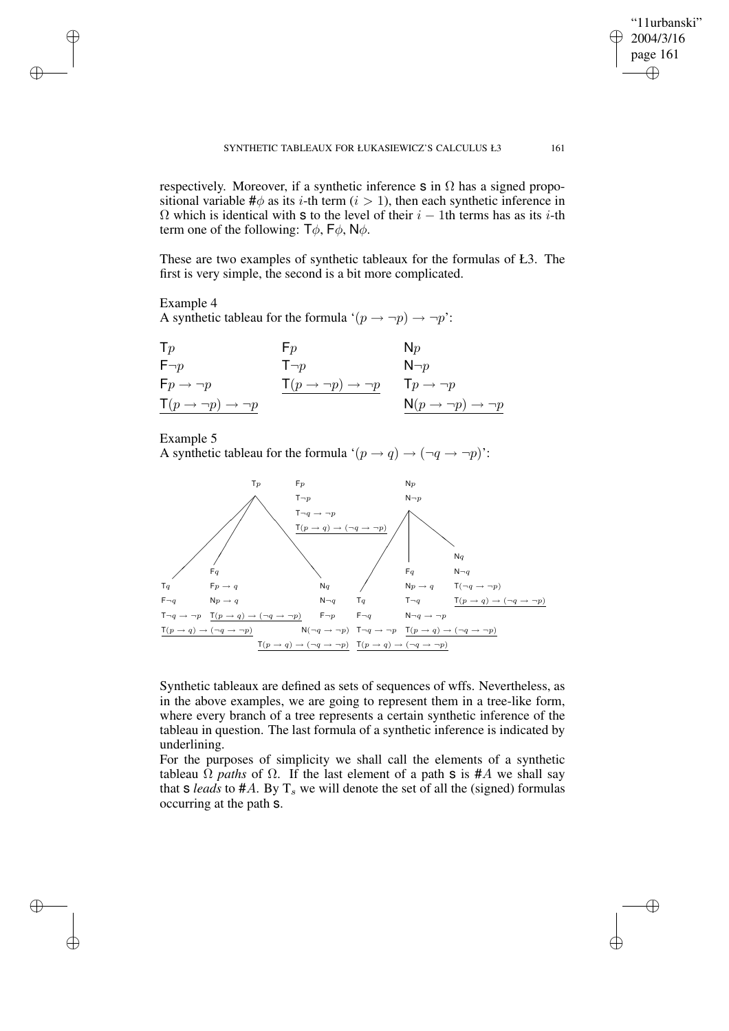"11urbanski" 2004/3/16 page 161

✐

✐

✐

✐

respectively. Moreover, if a synthetic inference s in  $\Omega$  has a signed propositional variable  $\#\phi$  as its *i*-th term (*i* > 1), then each synthetic inference in  $\Omega$  which is identical with s to the level of their  $i - 1$ th terms has as its i-th term one of the following:  $T\phi$ ,  $F\phi$ ,  $N\phi$ .

These are two examples of synthetic tableaux for the formulas of Ł3. The first is very simple, the second is a bit more complicated.

# Example 4

✐

✐

✐

✐

A synthetic tableau for the formula ' $(p \rightarrow \neg p) \rightarrow \neg p$ ':

| $\mathsf{T} p$                        | $F_p$                                 | $N_p$                                        |
|---------------------------------------|---------------------------------------|----------------------------------------------|
| $F\neg p$                             | $T\neg p$                             | $N\neg p$                                    |
| $Fp \rightarrow \neg p$               | $\mathsf{T}(p \to \neg p) \to \neg p$ | $Tp \rightarrow \neg p$                      |
| $\mathsf{T}(p \to \neg p) \to \neg p$ |                                       | $N(p \rightarrow \neg p) \rightarrow \neg p$ |

# Example 5

A synthetic tableau for the formula ' $(p \rightarrow q) \rightarrow (\neg q \rightarrow \neg p)$ ':



Synthetic tableaux are defined as sets of sequences of wffs. Nevertheless, as in the above examples, we are going to represent them in a tree-like form, where every branch of a tree represents a certain synthetic inference of the tableau in question. The last formula of a synthetic inference is indicated by underlining.

For the purposes of simplicity we shall call the elements of a synthetic tableau  $\Omega$  *paths* of  $\Omega$ . If the last element of a path **s** is #A we shall say that  $s$  *leads* to  $#A$ . By  $T_s$  we will denote the set of all the (signed) formulas occurring at the path s.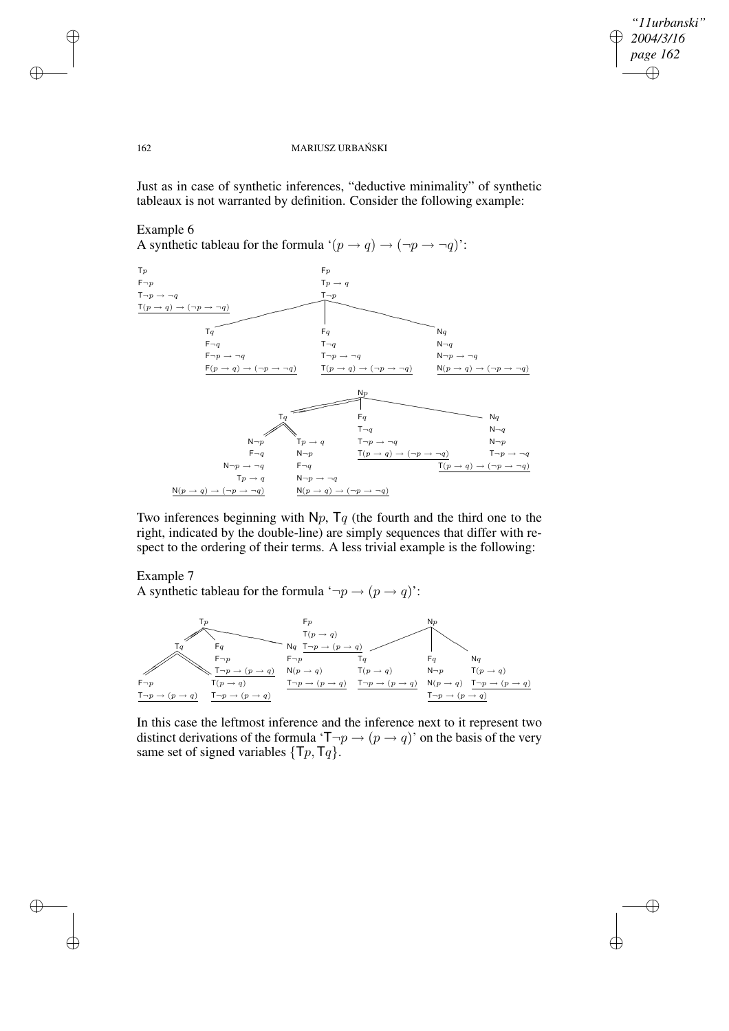$\bigoplus$ 

✐

### 162 MARIUSZ URBAŃSKI

Just as in case of synthetic inferences, "deductive minimality" of synthetic tableaux is not warranted by definition. Consider the following example:

### Example 6

A synthetic tableau for the formula ' $(p \rightarrow q) \rightarrow (\neg p \rightarrow \neg q)$ ':



Two inferences beginning with  $N_p$ ,  $T_q$  (the fourth and the third one to the right, indicated by the double-line) are simply sequences that differ with respect to the ordering of their terms. A less trivial example is the following:

# Example 7

A synthetic tableau for the formula ' $\neg p \rightarrow (p \rightarrow q)$ ':



In this case the leftmost inference and the inference next to it represent two distinct derivations of the formula ' $\mathsf{T}\neg p \rightarrow (p \rightarrow q)$ ' on the basis of the very same set of signed variables  $\{\mathsf{T}p, \mathsf{T}q\}$ .

✐

✐

✐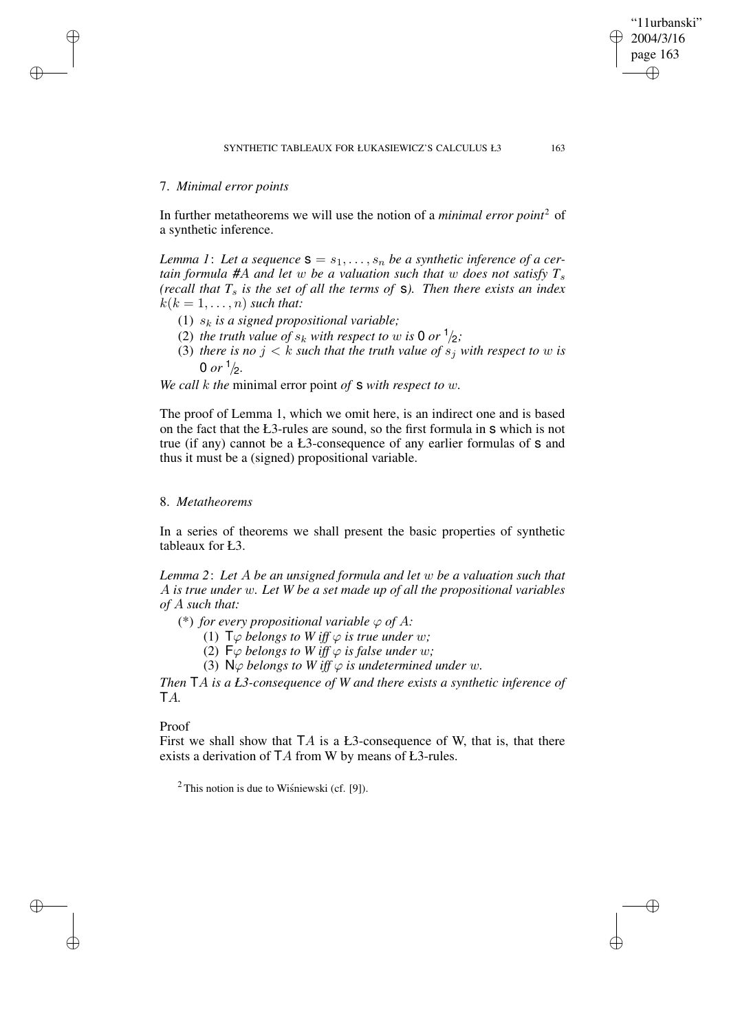# 7. *Minimal error points*

✐

✐

✐

✐

In further metatheorems we will use the notion of a *minimal error point*<sup>2</sup> of a synthetic inference.

*Lemma 1: Let a sequence*  $\mathbf{s} = s_1, \ldots, s_n$  *be a synthetic inference of a certain formula* #A *and let w be a valuation such that w does not satisfy*  $T_s$ *(recall that T*<sup>s</sup> *is the set of all the terms of* s*). Then there exists an index*  $k(k = 1, \ldots, n)$  *such that:* 

- (1)  $s_k$  *is a signed propositional variable;*
- (2) *the truth value of*  $s_k$  *with respect to w is* 0 *or*  $\frac{1}{2}$ ;
- (3) *there is no*  $j < k$  *such that the truth value of*  $s_j$  *with respect to w is* 0 or  $\frac{1}{2}$ .

*We call* k *the* minimal error point *of* s *with respect to* w*.*

The proof of Lemma 1, which we omit here, is an indirect one and is based on the fact that the Ł3-rules are sound, so the first formula in s which is not true (if any) cannot be a Ł3-consequence of any earlier formulas of s and thus it must be a (signed) propositional variable.

# 8. *Metatheorems*

In a series of theorems we shall present the basic properties of synthetic tableaux for Ł3.

*Lemma 2*: *Let* A *be an unsigned formula and let* w *be a valuation such that* A *is true under* w*. Let W be a set made up of all the propositional variables of* A *such that:*

(\*) *for every propositional variable*  $\varphi$  *of* A:

(1)  $\mathsf{T}\varphi$  *belongs to*  $W$  *iff*  $\varphi$  *is true under*  $w$ ;

(2)  $\mathsf{F}\varphi$  *belongs to W iff*  $\varphi$  *is false under w*;

(3)  $\mathsf{N}\varphi$  *belongs to*  $W$  *iff*  $\varphi$  *is undetermined under*  $w$ *.* 

*Then* TA *is a Ł3-consequence of W and there exists a synthetic inference of* TA*.*

### Proof

First we shall show that  $TA$  is a Ł3-consequence of W, that is, that there exists a derivation of TA from W by means of Ł3-rules.

 $2$  This notion is due to Wisniewski (cf. [9]).

"11urbanski" 2004/3/16 page 163

✐

✐

✐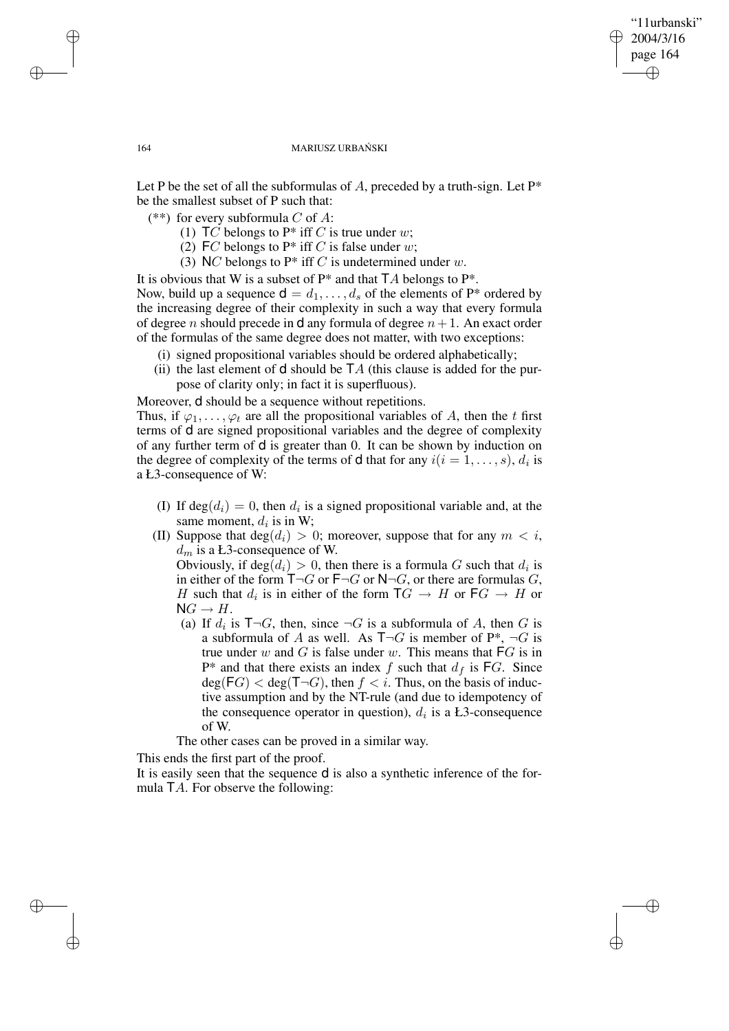## "11urbanski" 2004/3/16 page 164 ✐ ✐

✐

✐

#### 164 MARIUSZ URBAŃSKI

Let P be the set of all the subformulas of A, preceded by a truth-sign. Let  $P^*$ be the smallest subset of P such that:

(\*\*) for every subformula C of A:

- (1)  $TC$  belongs to P\* iff C is true under w;
- (2) FC belongs to  $P^*$  iff C is false under w;
- (3) NC belongs to  $P^*$  iff C is undetermined under w.

It is obvious that W is a subset of  $P^*$  and that  $TA$  belongs to  $P^*$ . Now, build up a sequence  $d = d_1, \ldots, d_s$  of the elements of P\* ordered by the increasing degree of their complexity in such a way that every formula of degree n should precede in **d** any formula of degree  $n+1$ . An exact order of the formulas of the same degree does not matter, with two exceptions:

- (i) signed propositional variables should be ordered alphabetically;
- (ii) the last element of **d** should be  $TA$  (this clause is added for the purpose of clarity only; in fact it is superfluous).

Moreover, d should be a sequence without repetitions.

Thus, if  $\varphi_1, \ldots, \varphi_t$  are all the propositional variables of A, then the t first terms of d are signed propositional variables and the degree of complexity of any further term of d is greater than 0. It can be shown by induction on the degree of complexity of the terms of **d** that for any  $i(i = 1, \ldots, s)$ ,  $d_i$  is a Ł3-consequence of W:

- (I) If  $deg(d_i) = 0$ , then  $d_i$  is a signed propositional variable and, at the same moment,  $d_i$  is in W;
- (II) Suppose that  $deg(d_i) > 0$ ; moreover, suppose that for any  $m < i$ ,  $d_m$  is a Ł3-consequence of W.

Obviously, if  $deg(d_i) > 0$ , then there is a formula G such that  $d_i$  is in either of the form  $T\neg G$  or  $F\neg G$  or  $N\neg G$ , or there are formulas G, H such that  $d_i$  is in either of the form  $TG \rightarrow H$  or  $FG \rightarrow H$  or  $NG \rightarrow H$ .

(a) If  $d_i$  is  $T\neg G$ , then, since  $\neg G$  is a subformula of A, then G is a subformula of A as well. As  $T\neg G$  is member of P\*,  $\neg G$  is true under  $w$  and  $G$  is false under  $w$ . This means that  $FG$  is in  $P^*$  and that there exists an index f such that  $d_f$  is FG. Since  $deg(FG) < deg(T\neg G)$ , then  $f < i$ . Thus, on the basis of inductive assumption and by the NT-rule (and due to idempotency of the consequence operator in question),  $d_i$  is a Ł3-consequence of W.

The other cases can be proved in a similar way.

This ends the first part of the proof.

It is easily seen that the sequence d is also a synthetic inference of the formula  $TA$ . For observe the following:

✐

✐

✐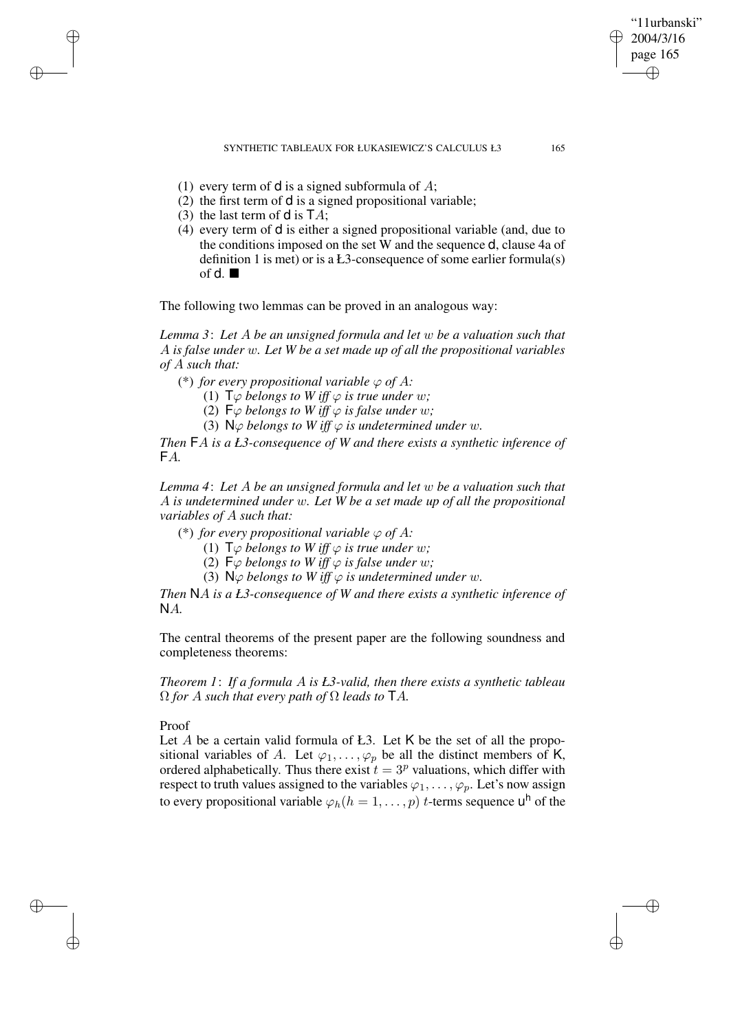SYNTHETIC TABLEAUX FOR ŁUKASIEWICZ'S CALCULUS Ł3 165

"11urbanski" 2004/3/16 page 165

✐

✐

✐

✐

- (1) every term of  $\mathsf d$  is a signed subformula of A;
- (2) the first term of d is a signed propositional variable;
- (3) the last term of **d** is  $TA$ ;

✐

✐

✐

✐

(4) every term of d is either a signed propositional variable (and, due to the conditions imposed on the set W and the sequence d, clause 4a of definition 1 is met) or is a Ł3-consequence of some earlier formula(s) of d.  $\blacksquare$ 

The following two lemmas can be proved in an analogous way:

*Lemma 3*: *Let* A *be an unsigned formula and let* w *be a valuation such that* A *is false under* w*. Let W be a set made up of all the propositional variables of* A *such that:*

(\*) *for every propositional variable*  $\varphi$  *of A*:

(1)  $\mathsf{T}\varphi$  *belongs to*  $W$  *iff*  $\varphi$  *is true under*  $w$ *;* 

(2)  $\mathsf{F}\varphi$  *belongs to W iff*  $\varphi$  *is false under w*;

(3)  $\mathsf{N}\varphi$  *belongs to*  $W$  *iff*  $\varphi$  *is undetermined under w.* 

*Then* FA *is a Ł3-consequence of W and there exists a synthetic inference of* FA*.*

*Lemma 4*: *Let* A *be an unsigned formula and let* w *be a valuation such that* A *is undetermined under* w*. Let W be a set made up of all the propositional variables of* A *such that:*

(\*) *for every propositional variable*  $\varphi$  *of A:* 

(1)  $\mathsf{T}\varphi$  *belongs to*  $W$  *iff*  $\varphi$  *is true under*  $w$ *;* 

(2)  $\mathsf{F}\varphi$  *belongs to W iff*  $\varphi$  *is false under w*;

(3)  $\mathbb{N} \varphi$  *belongs to*  $W$  *iff*  $\varphi$  *is undetermined under*  $w$ *.* 

*Then* NA *is a Ł3-consequence of W and there exists a synthetic inference of* NA*.*

The central theorems of the present paper are the following soundness and completeness theorems:

*Theorem 1*: *If a formula* A *is Ł3-valid, then there exists a synthetic tableau*  $\Omega$  *for A such that every path of*  $\Omega$  *leads to*  $TA$ *.* 

### Proof

Let  $A$  be a certain valid formula of Ł3. Let  $K$  be the set of all the propositional variables of A. Let  $\varphi_1, \ldots, \varphi_p$  be all the distinct members of K, ordered alphabetically. Thus there exist  $t = 3<sup>p</sup>$  valuations, which differ with respect to truth values assigned to the variables  $\varphi_1, \ldots, \varphi_p$ . Let's now assign to every propositional variable  $\varphi_h(h=1,\ldots,p)$  t-terms sequence  $\mathsf{u}^\mathsf{h}$  of the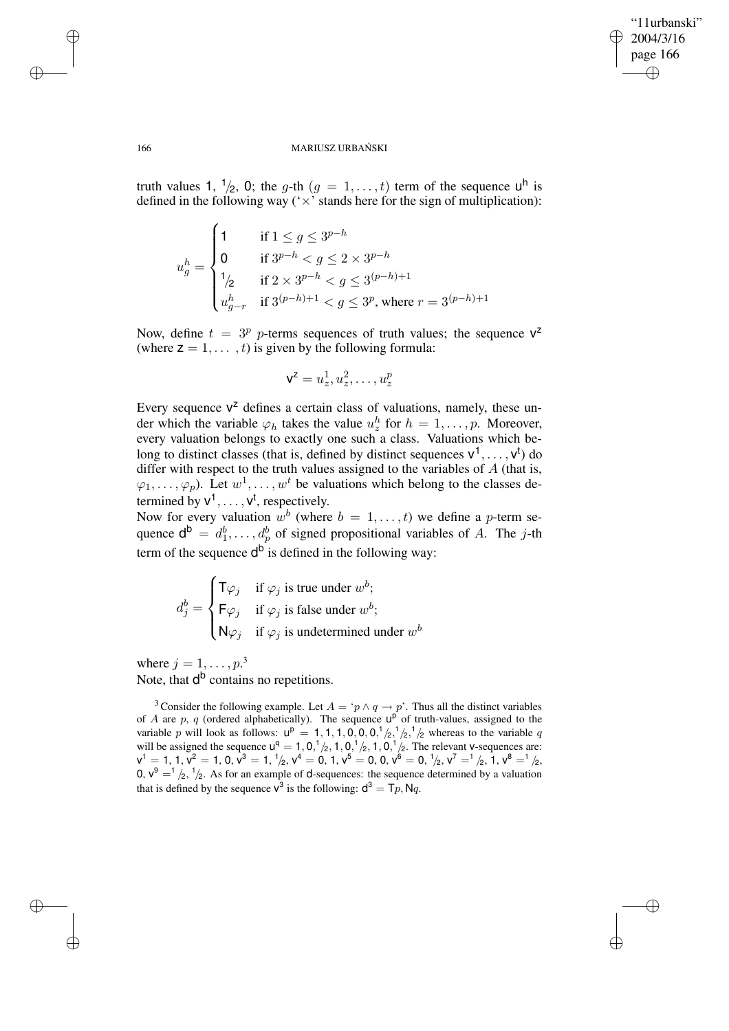✐

✐

#### 166 MARIUSZ URBAŃSKI

truth values 1,  $\frac{1}{2}$ , 0; the *g*-th  $(g = 1, \ldots, t)$  term of the sequence  $u^h$  is defined in the following way  $(\forall x)$  stands here for the sign of multiplication):

$$
u_g^h = \begin{cases} 1 & \text{if } 1 \le g \le 3^{p-h} \\ 0 & \text{if } 3^{p-h} < g \le 2 \times 3^{p-h} \\ 1_{/2} & \text{if } 2 \times 3^{p-h} < g \le 3^{(p-h)+1} \\ u_{g-r}^h & \text{if } 3^{(p-h)+1} < g \le 3^p \text{, where } r = 3^{(p-h)+1} \end{cases}
$$

Now, define  $t = 3^p$  p-terms sequences of truth values; the sequence  $V^2$ (where  $z = 1, \ldots, t$ ) is given by the following formula:

$$
\mathbf{V}^{\mathbf{Z}}=u^1_z,u^2_z,\ldots,u^p_z
$$

Every sequence  $V^z$  defines a certain class of valuations, namely, these under which the variable  $\varphi_h$  takes the value  $u_z^h$  for  $h = 1, \ldots, p$ . Moreover, every valuation belongs to exactly one such a class. Valuations which belong to distinct classes (that is, defined by distinct sequences  $v^1, \dots, v^t$ ) do differ with respect to the truth values assigned to the variables of  $A$  (that is,  $(\varphi_1, \ldots, \varphi_p)$ . Let  $w^1, \ldots, w^t$  be valuations which belong to the classes determined by  $v^1, \ldots, v^t$ , respectively.

Now for every valuation  $w^b$  (where  $b = 1, \ldots, t$ ) we define a p-term sequence  $d^b = d_1^b, \dots, d_p^b$  of signed propositional variables of A. The j-th term of the sequence  $d^b$  is defined in the following way:

$$
d_j^b = \begin{cases} \mathsf{T}\varphi_j & \text{if } \varphi_j \text{ is true under } w^b; \\ \mathsf{F}\varphi_j & \text{if } \varphi_j \text{ is false under } w^b; \\ \mathsf{N}\varphi_j & \text{if } \varphi_j \text{ is undetermined under } w^b \end{cases}
$$

where  $j = 1, \ldots, p$ .<sup>3</sup> Note, that d<sup>b</sup> contains no repetitions.

<sup>3</sup> Consider the following example. Let  $A = \gamma p \wedge q \rightarrow p'$ . Thus all the distinct variables of A are p, q (ordered alphabetically). The sequence  $u^{\rho}$  of truth-values, assigned to the variable p will look as follows:  $u^p = 1, 1, 1, 0, 0, 0, \frac{1}{2}, \frac{1}{2}, \frac{1}{2}$  whereas to the variable q will be assigned the sequence  $u^q = 1, 0, ^1/2, 1, 0, ^1/2, 1, 0, ^1/2$ . The relevant v-sequences are:  ${\sf v}^1=1,\,1,{\sf v}^2=1,\,0,{\sf v}^3=1,\,{}^1\!/_2,\,{\sf v}^4=0,\,1,{\sf v}^5=0,\,0,{\sf v}^6=0,\,{}^1\!/_2,{\sf v}^7=^1\!/_2,\,1,{\sf v}^8=^1\!/_2,$ 0,  $v^9 = \frac{1}{2}$ ,  $\frac{1}{2}$ . As for an example of d-sequences: the sequence determined by a valuation that is defined by the sequence  $v^3$  is the following:  $d^3 = T_p$ , Nq.

✐

✐

✐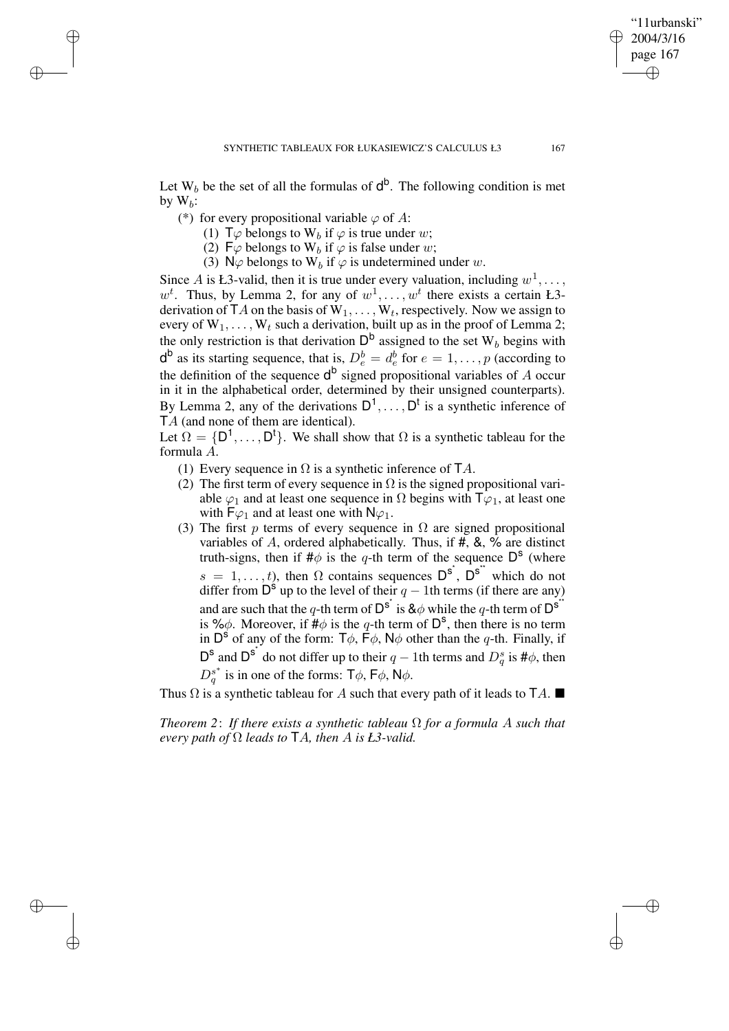Let  $W_b$  be the set of all the formulas of  $d^b$ . The following condition is met by  $W_b$ :

(\*) for every propositional variable  $\varphi$  of A:

✐

✐

✐

✐

(1)  $\mathsf{T}\varphi$  belongs to  $\mathsf{W}_b$  if  $\varphi$  is true under w;

(2) F $\varphi$  belongs to W<sub>b</sub> if  $\varphi$  is false under w;

(3)  $N\varphi$  belongs to  $W_b$  if  $\varphi$  is undetermined under w.

Since A is Ł3-valid, then it is true under every valuation, including  $w^1, \ldots$ ,  $w<sup>t</sup>$ . Thus, by Lemma 2, for any of  $w<sup>1</sup>, \ldots, w<sup>t</sup>$  there exists a certain Ł3derivation of TA on the basis of  $W_1, \ldots, W_t$ , respectively. Now we assign to every of  $W_1, \ldots, W_t$  such a derivation, built up as in the proof of Lemma 2; the only restriction is that derivation  $D^b$  assigned to the set  $W_b$  begins with  $d^b$  as its starting sequence, that is,  $D_e^b = d_e^b$  for  $e = 1, \ldots, p$  (according to the definition of the sequence  $d^b$  signed propositional variables of A occur in it in the alphabetical order, determined by their unsigned counterparts). By Lemma 2, any of the derivations  $D^1, \ldots, D^t$  is a synthetic inference of TA (and none of them are identical).

Let  $\Omega = \{D^1, \ldots, D^t\}$ . We shall show that  $\Omega$  is a synthetic tableau for the formula A.

- (1) Every sequence in  $\Omega$  is a synthetic inference of TA.
- (2) The first term of every sequence in  $\Omega$  is the signed propositional variable  $\varphi_1$  and at least one sequence in  $\Omega$  begins with  $\mathsf{T}\varphi_1$ , at least one with  $F\varphi_1$  and at least one with  $N\varphi_1$ .
- (3) The first p terms of every sequence in  $\Omega$  are signed propositional variables of A, ordered alphabetically. Thus, if #, &, % are distinct truth-signs, then if  $\#\phi$  is the q-th term of the sequence  $\mathsf{D}^{\mathsf{S}}$  (where  $s = 1, \ldots, t$ , then  $\Omega$  contains sequences  $D^{s^*}$ ,  $D^{s^*}$  which do not differ from  $\overline{D}^s$  up to the level of their  $q-1$ th terms (if there are any) and are such that the q-th term of  $D^{s^*}$  is  $\&\phi$  while the q-th term of  $D^{s^*}$ is % $\phi$ . Moreover, if  $\sharp \phi$  is the q-th term of  $D^s$ , then there is no term in  $D^{\text{S}}$  of any of the form:  $T\phi$ ,  $\vec{F}\phi$ ,  $N\phi$  other than the q-th. Finally, if D<sup>s</sup> and D<sup>s<sup>\*</sup></sup> do not differ up to their  $q-1$ th terms and  $D_q^s$  is # $\phi$ , then  $D_q^{s^*}$  $g_q^s$  is in one of the forms:  $\mathsf{T}\phi$ ,  $\mathsf{F}\phi$ ,  $\mathsf{N}\phi$ .

Thus  $\Omega$  is a synthetic tableau for A such that every path of it leads to  $TA$ .

*Theorem* 2: If *there exists* a *synthetic tableau*  $\Omega$  *for* a *formula* A *such that every path of*  $\Omega$  *leads to*  $TA$ *, then*  $A$  *is*  $L3$ -valid.

"11urbanski" 2004/3/16 page 167

✐

✐

✐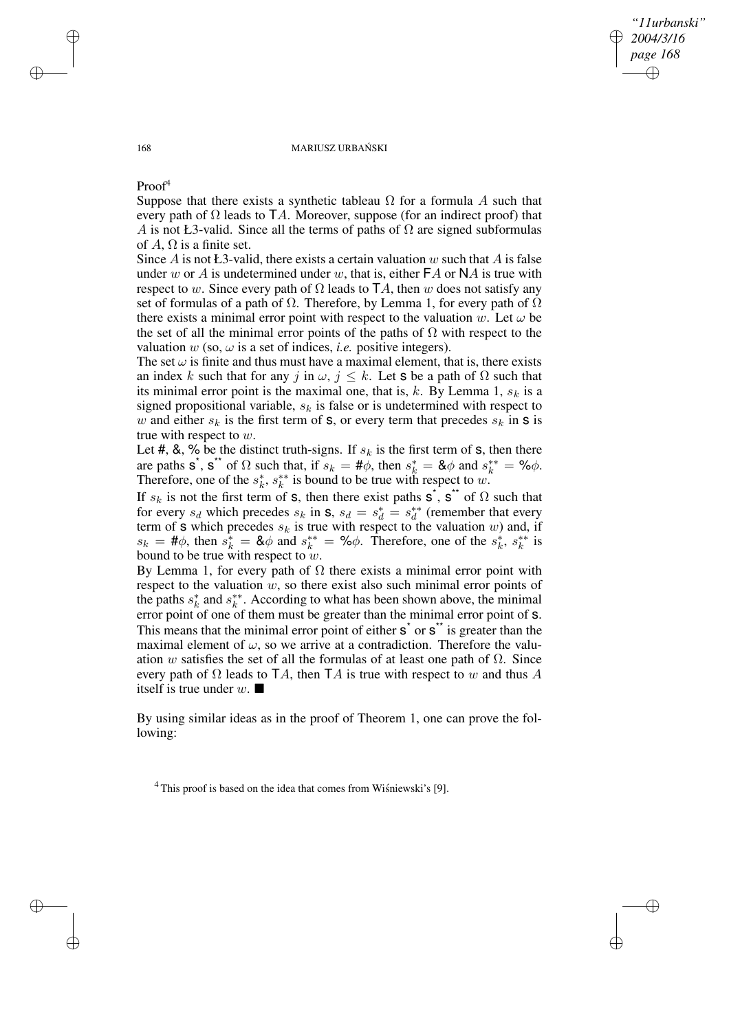### *"11urbanski" 2004/3/16 page 168* ✐ ✐

✐

✐

#### 168 MARIUSZ URBAŃSKI

Proof<sup>4</sup>

Suppose that there exists a synthetic tableau  $\Omega$  for a formula A such that every path of  $\Omega$  leads to TA. Moreover, suppose (for an indirect proof) that A is not Ł3-valid. Since all the terms of paths of  $\Omega$  are signed subformulas of A,  $\Omega$  is a finite set.

Since A is not  $E_3$ -valid, there exists a certain valuation w such that A is false under w or A is undetermined under w, that is, either  $FA$  or NA is true with respect to w. Since every path of  $\Omega$  leads to TA, then w does not satisfy any set of formulas of a path of  $\Omega$ . Therefore, by Lemma 1, for every path of  $\Omega$ there exists a minimal error point with respect to the valuation w. Let  $\omega$  be the set of all the minimal error points of the paths of  $\Omega$  with respect to the valuation  $w$  (so,  $\omega$  is a set of indices, *i.e.* positive integers).

The set  $\omega$  is finite and thus must have a maximal element, that is, there exists an index k such that for any j in  $\omega$ ,  $j \leq k$ . Let **s** be a path of  $\Omega$  such that its minimal error point is the maximal one, that is,  $k$ . By Lemma 1,  $s_k$  is a signed propositional variable,  $s_k$  is false or is undetermined with respect to w and either  $s_k$  is the first term of **s**, or every term that precedes  $s_k$  in **s** is true with respect to w.

Let #, &, % be the distinct truth-signs. If  $s_k$  is the first term of s, then there are paths s<sup>\*</sup>, s<sup>\*\*</sup> of  $\Omega$  such that, if  $s_k = #\ddot{\phi}$ , then  $s_k^* = \& \phi$  and  $s_k^{**} = \% \phi$ . Therefore, one of the  $s_k^*$  $\frac{k}{k}$ ,  $s_k^{**}$  $k^*$  is bound to be true with respect to w.

If  $s_k$  is not the first term of **s**, then there exist paths **s**<sup>\*</sup>, **s**<sup>\*\*</sup> of  $\Omega$  such that for every  $s_d$  which precedes  $s_k$  in  $s$ ,  $s_d = s_d^* = s_d^{**}$  $d \atop d$  (remember that every term of s which precedes  $s_k$  is true with respect to the valuation w) and, if  $s_k = #\phi$ , then  $s_k^* = \& \phi$  and  $s_k^{**} = \% \phi$ . Therefore, one of the  $s_k^*$  $\stackrel{*}{k}, s_k^{**}$  $k^*$  is bound to be true with respect to w.

By Lemma 1, for every path of  $Ω$  there exists a minimal error point with respect to the valuation  $w$ , so there exist also such minimal error points of the paths  $s_k^*$  $\frac{k}{k}$  and  $s_k^{**}$  $\stackrel{**}{k}$ . According to what has been shown above, the minimal error point of one of them must be greater than the minimal error point of s. This means that the minimal error point of either  $s^*$  or  $s^*$  is greater than the maximal element of  $\omega$ , so we arrive at a contradiction. Therefore the valuation w satisfies the set of all the formulas of at least one path of  $\Omega$ . Since every path of  $\Omega$  leads to TA, then TA is true with respect to w and thus A itself is true under  $w$ .

By using similar ideas as in the proof of Theorem 1, one can prove the following:

 $^{4}$  This proof is based on the idea that comes from Wisniewski's [9].

✐

✐

✐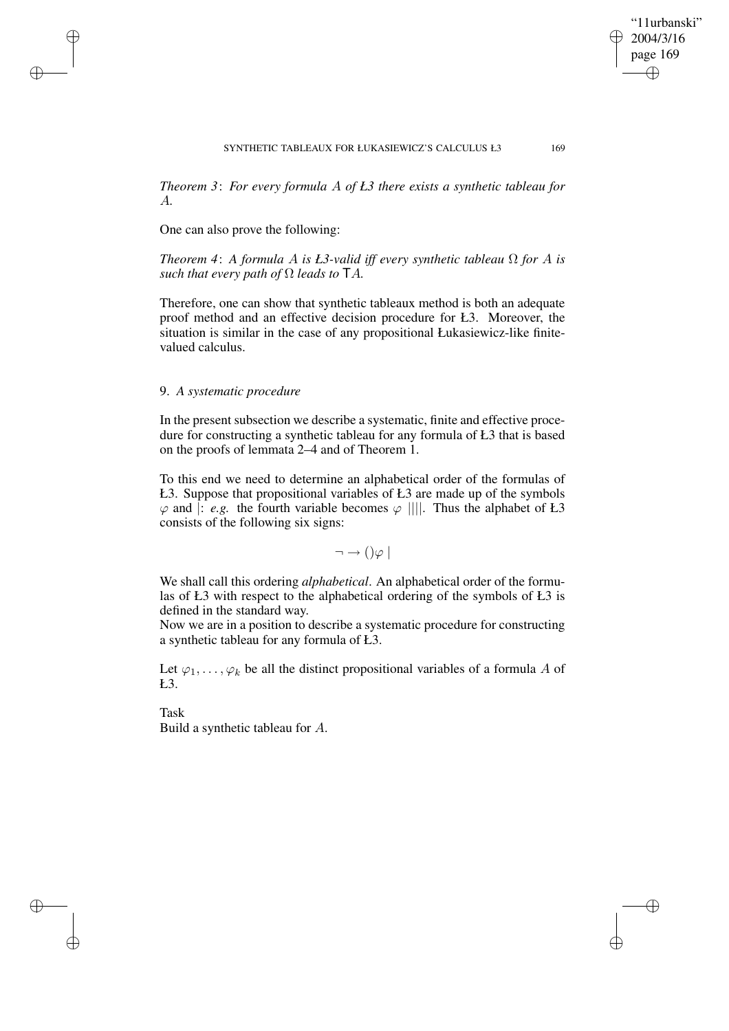"11urbanski" 2004/3/16 page 169

✐

✐

✐

✐

*Theorem 3*: *For every formula* A *of Ł3 there exists a synthetic tableau for* A*.*

One can also prove the following:

✐

✐

✐

✐

*Theorem 4*: *A formula* A *is Ł3-valid iff every synthetic tableau* Ω *for* A *is such that every path of*  $\Omega$  *leads to*  $TA$ *.* 

Therefore, one can show that synthetic tableaux method is both an adequate proof method and an effective decision procedure for Ł3. Moreover, the situation is similar in the case of any propositional Łukasiewicz-like finitevalued calculus.

# 9. *A systematic procedure*

In the present subsection we describe a systematic, finite and effective procedure for constructing a synthetic tableau for any formula of Ł3 that is based on the proofs of lemmata 2–4 and of Theorem 1.

To this end we need to determine an alphabetical order of the formulas of Ł3. Suppose that propositional variables of Ł3 are made up of the symbols  $\varphi$  and  $\vdots$  *e.g.* the fourth variable becomes  $\varphi$  ||||. Thus the alphabet of Ł3 consists of the following six signs:

 $\neg \rightarrow () \varphi$ 

We shall call this ordering *alphabetical*. An alphabetical order of the formulas of Ł3 with respect to the alphabetical ordering of the symbols of Ł3 is defined in the standard way.

Now we are in a position to describe a systematic procedure for constructing a synthetic tableau for any formula of Ł3.

Let  $\varphi_1, \ldots, \varphi_k$  be all the distinct propositional variables of a formula A of Ł3.

Task Build a synthetic tableau for A.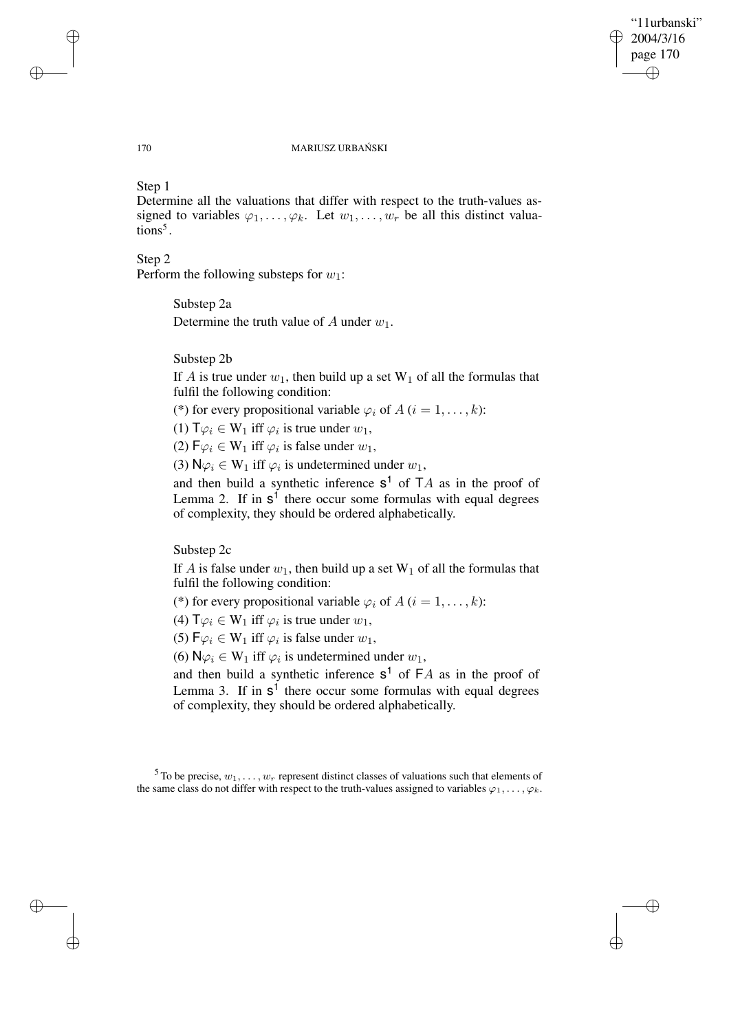✐

✐

#### 170 MARIUSZ URBAŃSKI

# Step 1

Determine all the valuations that differ with respect to the truth-values assigned to variables  $\varphi_1, \ldots, \varphi_k$ . Let  $w_1, \ldots, w_r$  be all this distinct valuations<sup>5</sup>.

# Step 2

Perform the following substeps for  $w_1$ :

# Substep 2a

Determine the truth value of A under  $w_1$ .

# Substep 2b

If A is true under  $w_1$ , then build up a set  $W_1$  of all the formulas that fulfil the following condition:

(\*) for every propositional variable  $\varphi_i$  of  $A$  ( $i = 1, \ldots, k$ ):

(1)  $\mathsf{T}\varphi_i \in \mathsf{W}_1$  iff  $\varphi_i$  is true under  $w_1$ ,

(2)  $\mathsf{F}\varphi_i \in \mathsf{W}_1$  iff  $\varphi_i$  is false under  $w_1$ ,

(3)  $\mathsf{N} \varphi_i \in \mathsf{W}_1$  iff  $\varphi_i$  is undetermined under  $w_1$ ,

and then build a synthetic inference  $s^1$  of  $TA$  as in the proof of Lemma 2. If in  $s<sup>1</sup>$  there occur some formulas with equal degrees of complexity, they should be ordered alphabetically.

Substep 2c

If A is false under  $w_1$ , then build up a set  $W_1$  of all the formulas that fulfil the following condition:

(\*) for every propositional variable  $\varphi_i$  of  $A$  ( $i = 1, \ldots, k$ ):

(4)  $\mathsf{T}\varphi_i \in \mathsf{W}_1$  iff  $\varphi_i$  is true under  $w_1$ ,

(5)  $\mathsf{F}\varphi_i \in \mathsf{W}_1$  iff  $\varphi_i$  is false under  $w_1$ ,

(6)  $\mathsf{N} \varphi_i \in \mathsf{W}_1$  iff  $\varphi_i$  is undetermined under  $w_1$ ,

and then build a synthetic inference  $s^1$  of  $FA$  as in the proof of Lemma 3. If in  $s<sup>1</sup>$  there occur some formulas with equal degrees of complexity, they should be ordered alphabetically.

✐

✐

✐

<sup>&</sup>lt;sup>5</sup> To be precise,  $w_1, \ldots, w_r$  represent distinct classes of valuations such that elements of the same class do not differ with respect to the truth-values assigned to variables  $\varphi_1, \ldots, \varphi_k$ .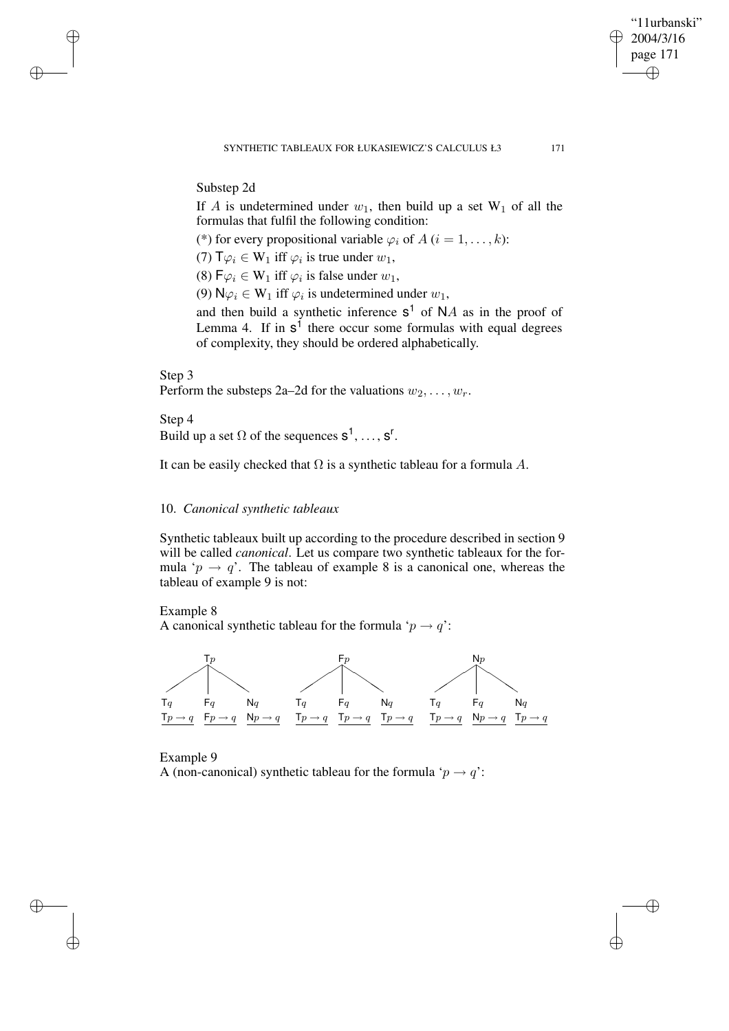# Substep 2d

If A is undetermined under  $w_1$ , then build up a set  $W_1$  of all the formulas that fulfil the following condition:

(\*) for every propositional variable  $\varphi_i$  of  $A$  ( $i = 1, \ldots, k$ ):

(7)  $\mathsf{T}\varphi_i \in \mathsf{W}_1$  iff  $\varphi_i$  is true under  $w_1$ ,

(8)  $\mathsf{F}\varphi_i \in \mathsf{W}_1$  iff  $\varphi_i$  is false under  $w_1$ ,

(9)  $\mathsf{N} \varphi_i \in \mathsf{W}_1$  iff  $\varphi_i$  is undetermined under  $w_1$ ,

and then build a synthetic inference  $s^1$  of NA as in the proof of Lemma 4. If in  $s<sup>1</sup>$  there occur some formulas with equal degrees of complexity, they should be ordered alphabetically.

# Step 3

✐

✐

✐

✐

Perform the substeps 2a–2d for the valuations  $w_2, \ldots, w_r$ .

Step 4 Build up a set  $\Omega$  of the sequences  $s^1, \ldots, s^r$ .

It can be easily checked that  $\Omega$  is a synthetic tableau for a formula A.

# 10. *Canonical synthetic tableaux*

Synthetic tableaux built up according to the procedure described in section 9 will be called *canonical*. Let us compare two synthetic tableaux for the formula ' $p \rightarrow q$ '. The tableau of example 8 is a canonical one, whereas the tableau of example 9 is not:

Example 8

A canonical synthetic tableau for the formula ' $p \rightarrow q$ ':



# Example 9

A (non-canonical) synthetic tableau for the formula ' $p \rightarrow q$ ':

"11urbanski" 2004/3/16 page 171

✐

✐

✐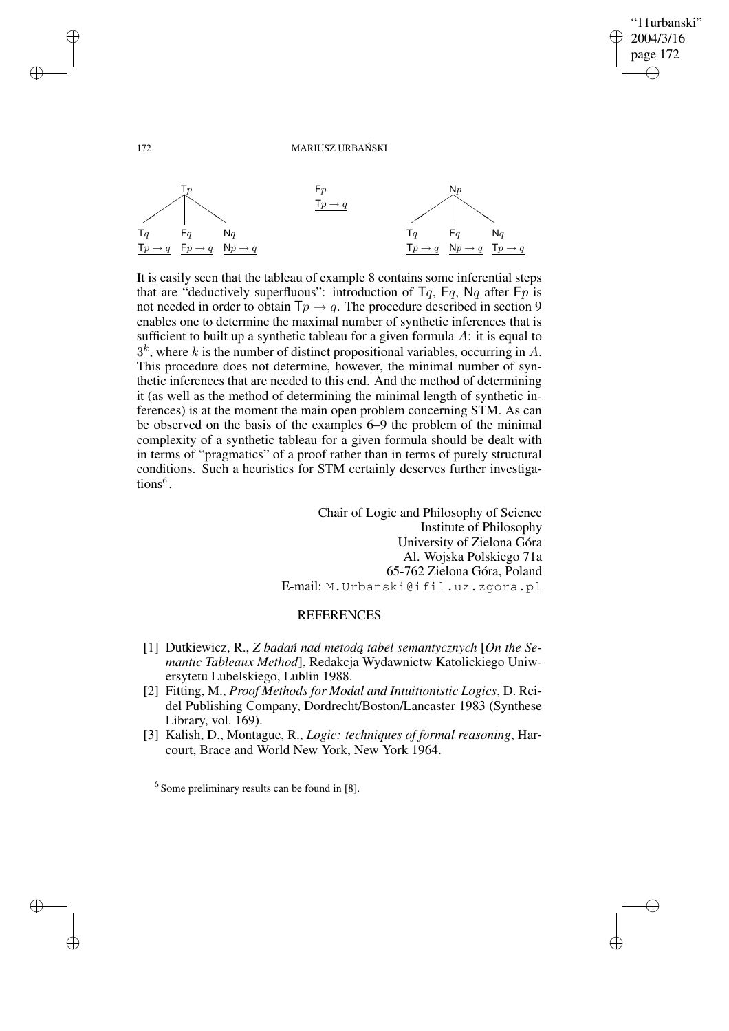✐

✐

#### 172 MARIUSZ URBAŃSKI



It is easily seen that the tableau of example 8 contains some inferential steps that are "deductively superfluous": introduction of  $Tq$ ,  $Fq$ ,  $Nq$  after  $Fp$  is not needed in order to obtain  $\mathsf{T}p \to q$ . The procedure described in section 9 enables one to determine the maximal number of synthetic inferences that is sufficient to built up a synthetic tableau for a given formula  $A$ : it is equal to  $3<sup>k</sup>$ , where k is the number of distinct propositional variables, occurring in A. This procedure does not determine, however, the minimal number of synthetic inferences that are needed to this end. And the method of determining it (as well as the method of determining the minimal length of synthetic inferences) is at the moment the main open problem concerning STM. As can be observed on the basis of the examples 6–9 the problem of the minimal complexity of a synthetic tableau for a given formula should be dealt with in terms of "pragmatics" of a proof rather than in terms of purely structural conditions. Such a heuristics for STM certainly deserves further investigations<sup>6</sup>.

Chair of Logic and Philosophy of Science Institute of Philosophy University of Zielona Góra Al. Wojska Polskiego 71a 65-762 Zielona Góra, Poland E-mail: M.Urbanski@ifil.uz.zgora.pl

# **REFERENCES**

- [1] Dutkiewicz, R., *Z badan´ nad metoda˛ tabel semantycznych* [*On the Semantic Tableaux Method*], Redakcja Wydawnictw Katolickiego Uniwersytetu Lubelskiego, Lublin 1988.
- [2] Fitting, M., *Proof Methods for Modal and Intuitionistic Logics*, D. Reidel Publishing Company, Dordrecht/Boston/Lancaster 1983 (Synthese Library, vol. 169).
- [3] Kalish, D., Montague, R., *Logic: techniques of formal reasoning*, Harcourt, Brace and World New York, New York 1964.

✐

✐

✐

<sup>&</sup>lt;sup>6</sup> Some preliminary results can be found in [8].